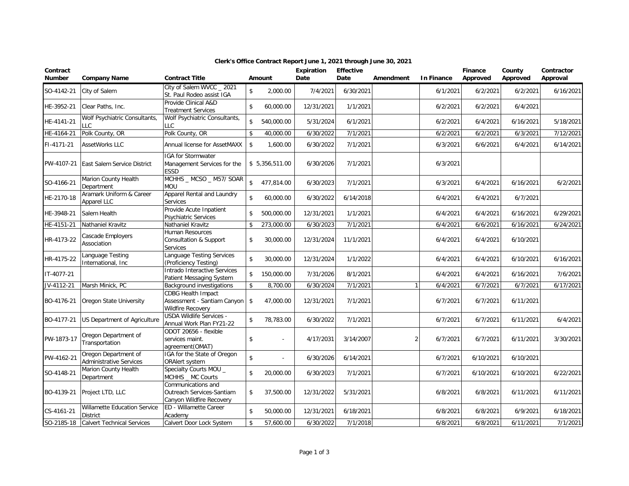| Contract<br><b>Number</b> | <b>Company Name</b>                                    | <b>Contract Title</b>                                                                |                    | Amount                   | Expiration<br>Date | <b>Effective</b><br>Date | Amendment      | <b>In Finance</b> | <b>Finance</b><br>Approved | County<br>Approved | Contractor<br>Approval |
|---------------------------|--------------------------------------------------------|--------------------------------------------------------------------------------------|--------------------|--------------------------|--------------------|--------------------------|----------------|-------------------|----------------------------|--------------------|------------------------|
| SO-4142-21                | City of Salem                                          | City of Salem WVCC _ 2021<br>St. Paul Rodeo assist IGA                               | $\mathsf{\$}$      | 2,000.00                 | 7/4/2021           | 6/30/2021                |                | 6/1/2021          | 6/2/2021                   | 6/2/2021           | 6/16/2021              |
| HE-3952-21                | Clear Paths, Inc.                                      | Provide Clinical A&D<br>Treatment Services                                           | $\mathsf{\$}$      | 60,000.00                | 12/31/2021         | 1/1/2021                 |                | 6/2/2021          | 6/2/2021                   | 6/4/2021           |                        |
| HE-4141-21                | Wolf Psychiatric Consultants,<br><b>LLC</b>            | Wolf Psychiatric Consultants,<br>LLC                                                 | $\mathsf{\$}$      | 540,000.00               | 5/31/2024          | 6/1/2021                 |                | 6/2/2021          | 6/4/2021                   | 6/16/2021          | 5/18/2021              |
| HE-4164-21                | Polk County, OR                                        | Polk County, OR                                                                      | \$                 | 40,000.00                | 6/30/2022          | 7/1/2021                 |                | 6/2/2021          | 6/2/2021                   | 6/3/2021           | 7/12/2021              |
| FI-4171-21                | <b>AssetWorks LLC</b>                                  | Annual license for AssetMAXX                                                         | \$                 | 1,600.00                 | 6/30/2022          | 7/1/2021                 |                | 6/3/2021          | 6/6/2021                   | 6/4/2021           | 6/14/2021              |
| PW-4107-21                | East Salem Service District                            | IGA for Stormwater<br>Management Services for the<br>ESSD                            |                    | \$5,356,511.00           | 6/30/2026          | 7/1/2021                 |                | 6/3/2021          |                            |                    |                        |
| SO-4166-21                | Marion County Health<br>Department                     | MCHHS _ MCSO _ M57/ SOAR<br>MOU                                                      | $\mathbf{\hat{S}}$ | 477,814.00               | 6/30/2023          | 7/1/2021                 |                | 6/3/2021          | 6/4/2021                   | 6/16/2021          | 6/2/2021               |
| HE-2170-18                | Aramark Uniform & Career<br>Apparel LLC                | Apparel Rental and Laundry<br>Services                                               | $\mathbf{\hat{S}}$ | 60,000.00                | 6/30/2022          | 6/14/2018                |                | 6/4/2021          | 6/4/2021                   | 6/7/2021           |                        |
| HE-3948-21                | Salem Health                                           | Provide Acute Inpatient<br>Psychiatric Services                                      | \$                 | 500,000.00               | 12/31/2021         | 1/1/2021                 |                | 6/4/2021          | 6/4/2021                   | 6/16/2021          | 6/29/2021              |
| HE-4151-21                | Nathaniel Kravitz                                      | Nathaniel Kravitz                                                                    | $\mathsf{\$}$      | 273,000.00               | 6/30/2023          | 7/1/2021                 |                | 6/4/2021          | 6/6/2021                   | 6/16/2021          | 6/24/2021              |
| HR-4173-22                | Cascade Employers<br>Association                       | Human Resources<br>Consultation & Support<br>Services                                | \$                 | 30,000.00                | 12/31/2024         | 11/1/2021                |                | 6/4/2021          | 6/4/2021                   | 6/10/2021          |                        |
| HR-4175-22                | Language Testing<br>International, Inc.                | Language Testing Services<br>(Proficiency Testing)                                   | $\mathsf{\$}$      | 30,000.00                | 12/31/2024         | 1/1/2022                 |                | 6/4/2021          | 6/4/2021                   | 6/10/2021          | 6/16/2021              |
| IT-4077-21                |                                                        | Intrado Interactive Services<br>Patient Messaging System                             | \$                 | 150,000.00               | 7/31/2026          | 8/1/2021                 |                | 6/4/2021          | 6/4/2021                   | 6/16/2021          | 7/6/2021               |
| JV-4112-21                | Marsh Minick, PC                                       | <b>Background investigations</b>                                                     | $\sqrt{2}$         | 8,700.00                 | 6/30/2024          | 7/1/2021                 | 1              | 6/4/2021          | 6/7/2021                   | 6/7/2021           | 6/17/2021              |
| BO-4176-21                | Oregon State University                                | <b>CDBG Health Impact</b><br>Assessment - Santiam Canyon<br><b>Wildfire Recovery</b> | \$                 | 47,000.00                | 12/31/2021         | 7/1/2021                 |                | 6/7/2021          | 6/7/2021                   | 6/11/2021          |                        |
| BO-4177-21                | US Department of Agriculture                           | <b>USDA Wildlife Services -</b><br>Annual Work Plan FY21-22                          | $\sqrt{2}$         | 78,783.00                | 6/30/2022          | 7/1/2021                 |                | 6/7/2021          | 6/7/2021                   | 6/11/2021          | 6/4/2021               |
| PW-1873-17                | Oregon Department of<br>Transportation                 | ODOT 20656 - flexible<br>services maint.<br>agreement(OMAT)                          | $\sqrt{2}$         |                          | 4/17/2031          | 3/14/2007                | $\overline{2}$ | 6/7/2021          | 6/7/2021                   | 6/11/2021          | 3/30/2021              |
| PW-4162-21                | Oregon Department of<br><b>Administrative Services</b> | IGA for the State of Oregon<br>ORAlert system                                        | $\sqrt{2}$         | $\overline{\phantom{a}}$ | 6/30/2026          | 6/14/2021                |                | 6/7/2021          | 6/10/2021                  | 6/10/2021          |                        |
| SO-4148-21                | Marion County Health<br>Department                     | Specialty Courts MOU _<br>MCHHS _ MC Courts                                          | $\mathsf{\$}$      | 20,000.00                | 6/30/2023          | 7/1/2021                 |                | 6/7/2021          | 6/10/2021                  | 6/10/2021          | 6/22/2021              |
| BO-4139-21                | Project LTD, LLC                                       | Communications and<br>Outreach Services-Santiam<br>Canyon Wildfire Recovery          | \$                 | 37,500.00                | 12/31/2022         | 5/31/2021                |                | 6/8/2021          | 6/8/2021                   | 6/11/2021          | 6/11/2021              |
| CS-4161-21                | Willamette Education Service<br><b>District</b>        | ED - Willamette Career<br>Academy                                                    | $\sqrt{2}$         | 50,000.00                | 12/31/2021         | 6/18/2021                |                | 6/8/2021          | 6/8/2021                   | 6/9/2021           | 6/18/2021              |
| SO-2185-18                | <b>Calvert Technical Services</b>                      | Calvert Door Lock System                                                             | \$                 | 57,600.00                | 6/30/2022          | 7/1/2018                 |                | 6/8/2021          | 6/8/2021                   | 6/11/2021          | 7/1/2021               |

## **Clerk's Office Contract Report June 1, 2021 through June 30, 2021**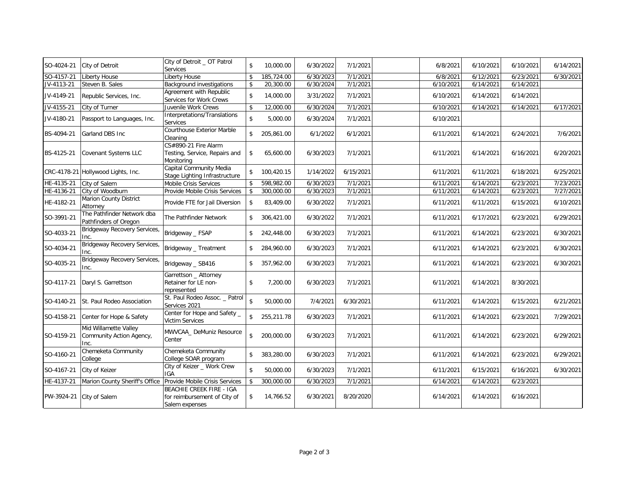| SO-4024-21 | City of Detroit                                           | City of Detroit _ OT Patrol<br><b>Services</b>                             | $\mathbf{\hat{S}}$ | 10,000.00  | 6/30/2022 | 7/1/2021  | 6/8/2021  | 6/10/2021 | 6/10/2021 | 6/14/2021 |
|------------|-----------------------------------------------------------|----------------------------------------------------------------------------|--------------------|------------|-----------|-----------|-----------|-----------|-----------|-----------|
| SO-4157-21 | Liberty House                                             | Liberty House                                                              | \$                 | 185,724.00 | 6/30/2023 | 7/1/2021  | 6/8/2021  | 6/12/2021 | 6/23/2021 | 6/30/2021 |
| JV-4113-21 | Steven B. Sales                                           | Background investigations                                                  | \$                 | 20,300.00  | 6/30/2024 | 7/1/2021  | 6/10/2021 | 6/14/2021 | 6/14/2021 |           |
| JV-4149-21 | Republic Services, Inc.                                   | Agreement with Republic<br>Services for Work Crews                         | $\mathbf{\hat{S}}$ | 14,000.00  | 3/31/2022 | 7/1/2021  | 6/10/2021 | 6/14/2021 | 6/14/2021 |           |
| JV-4155-21 | City of Turner                                            | Juvenile Work Crews                                                        | $\mathbf{\hat{S}}$ | 12,000.00  | 6/30/2024 | 7/1/2021  | 6/10/2021 | 6/14/2021 | 6/14/2021 | 6/17/2021 |
| JV-4180-21 | Passport to Languages, Inc.                               | Interpretations/Translations<br>Services                                   | \$                 | 5,000.00   | 6/30/2024 | 7/1/2021  | 6/10/2021 |           |           |           |
| BS-4094-21 | Garland DBS Inc                                           | Courthouse Exterior Marble<br>Cleaning                                     | \$                 | 205,861.00 | 6/1/2022  | 6/1/2021  | 6/11/2021 | 6/14/2021 | 6/24/2021 | 7/6/2021  |
| BS-4125-21 | <b>Covenant Systems LLC</b>                               | CS#890-21 Fire Alarm<br>Testing, Service, Repairs and<br>Monitoring        | \$                 | 65,600.00  | 6/30/2023 | 7/1/2021  | 6/11/2021 | 6/14/2021 | 6/16/2021 | 6/20/2021 |
|            | CRC-4178-21 Hollywood Lights, Inc.                        | Capital Community Media<br>Stage Lighting Infrastructure                   | \$                 | 100,420.15 | 1/14/2022 | 6/15/2021 | 6/11/2021 | 6/11/2021 | 6/18/2021 | 6/25/2021 |
| HE-4135-21 | City of Salem                                             | Mobile Crisis Services                                                     | $\mathbf{\hat{S}}$ | 598,982.00 | 6/30/2023 | 7/1/2021  | 6/11/2021 | 6/14/2021 | 6/23/2021 | 7/23/2021 |
| HE-4136-21 | City of Woodburn                                          | Provide Mobile Crisis Services                                             | \$                 | 300,000.00 | 6/30/2023 | 7/1/2021  | 6/11/2021 | 6/14/2021 | 6/23/2021 | 7/27/2021 |
| HE-4182-21 | Marion County District<br>Attorney                        | Provide FTE for Jail Diversion                                             | \$                 | 83,409.00  | 6/30/2022 | 7/1/2021  | 6/11/2021 | 6/11/2021 | 6/15/2021 | 6/10/2021 |
| SO-3991-21 | The Pathfinder Network dba<br>Pathfinders of Oregon       | The Pathfinder Network                                                     | \$                 | 306,421.00 | 6/30/2022 | 7/1/2021  | 6/11/2021 | 6/17/2021 | 6/23/2021 | 6/29/2021 |
| SO-4033-21 | Bridgeway Recovery Services,<br>Inc.                      | Bridgeway _ FSAP                                                           | \$                 | 242,448.00 | 6/30/2023 | 7/1/2021  | 6/11/2021 | 6/14/2021 | 6/23/2021 | 6/30/2021 |
| SO-4034-21 | Bridgeway Recovery Services,<br>Inc.                      | Bridgeway _ Treatment                                                      | \$                 | 284,960.00 | 6/30/2023 | 7/1/2021  | 6/11/2021 | 6/14/2021 | 6/23/2021 | 6/30/2021 |
| SO-4035-21 | <b>Bridgeway Recovery Services,</b><br>Inc.               | Bridgeway _ SB416                                                          | \$                 | 357,962.00 | 6/30/2023 | 7/1/2021  | 6/11/2021 | 6/14/2021 | 6/23/2021 | 6/30/2021 |
| SO-4117-21 | Daryl S. Garrettson                                       | Garrettson _ Attorney<br>Retainer for LE non-<br>represented               | \$                 | 7,200.00   | 6/30/2023 | 7/1/2021  | 6/11/2021 | 6/14/2021 | 8/30/2021 |           |
| SO-4140-21 | St. Paul Rodeo Association                                | St. Paul Rodeo Assoc. _ Patrol<br>Services 2021                            | $\hat{\mathbf{S}}$ | 50,000.00  | 7/4/2021  | 6/30/2021 | 6/11/2021 | 6/14/2021 | 6/15/2021 | 6/21/2021 |
| SO-4158-21 | Center for Hope & Safety                                  | Center for Hope and Safety _<br><b>Victim Services</b>                     | $\mathbb{S}$       | 255,211.78 | 6/30/2023 | 7/1/2021  | 6/11/2021 | 6/14/2021 | 6/23/2021 | 7/29/2021 |
| SO-4159-21 | Mid Willamette Valley<br>Community Action Agency,<br>Inc. | MWVCAA DeMuniz Resource<br>Center                                          | $\mathbb{S}$       | 200,000.00 | 6/30/2023 | 7/1/2021  | 6/11/2021 | 6/14/2021 | 6/23/2021 | 6/29/2021 |
| SO-4160-21 | Chemeketa Community<br>College                            | Chemeketa Community<br>College SOAR program                                | \$                 | 383,280.00 | 6/30/2023 | 7/1/2021  | 6/11/2021 | 6/14/2021 | 6/23/2021 | 6/29/2021 |
| SO-4167-21 | City of Keizer                                            | City of Keizer _ Work Crew<br><b>IGA</b>                                   | $\mathbf{\hat{S}}$ | 50,000.00  | 6/30/2023 | 7/1/2021  | 6/11/2021 | 6/15/2021 | 6/16/2021 | 6/30/2021 |
| HE-4137-21 | Marion County Sheriff's Office                            | Provide Mobile Crisis Services                                             | -\$                | 300,000.00 | 6/30/2023 | 7/1/2021  | 6/14/2021 | 6/14/2021 | 6/23/2021 |           |
| PW-3924-21 | City of Salem                                             | BEACHIE CREEK FIRE - IGA<br>for reimbursement of City of<br>Salem expenses | \$                 | 14,766.52  | 6/30/2021 | 8/20/2020 | 6/14/2021 | 6/14/2021 | 6/16/2021 |           |
|            |                                                           |                                                                            |                    |            |           |           |           |           |           |           |